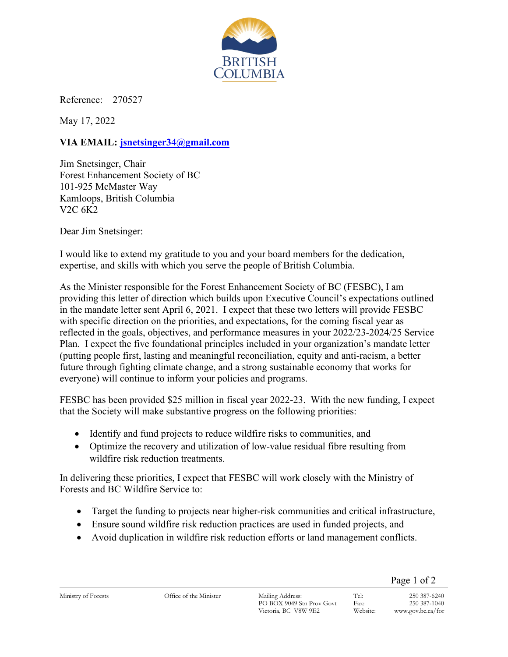

Reference: 270527

May 17, 2022

## **VIA EMAIL: [jsnetsinger34@gmail.com](mailto:jsnetsinger34@gmail.com)**

Jim Snetsinger, Chair Forest Enhancement Society of BC 101-925 McMaster Way Kamloops, British Columbia V2C 6K2

Dear Jim Snetsinger:

I would like to extend my gratitude to you and your board members for the dedication, expertise, and skills with which you serve the people of British Columbia.

As the Minister responsible for the Forest Enhancement Society of BC (FESBC), I am providing this letter of direction which builds upon Executive Council's expectations outlined in the mandate letter sent April 6, 2021. I expect that these two letters will provide FESBC with specific direction on the priorities, and expectations, for the coming fiscal year as reflected in the goals, objectives, and performance measures in your 2022/23-2024/25 Service Plan. I expect the five foundational principles included in your organization's mandate letter (putting people first, lasting and meaningful reconciliation, equity and anti-racism, a better future through fighting climate change, and a strong sustainable economy that works for everyone) will continue to inform your policies and programs.

FESBC has been provided \$25 million in fiscal year 2022-23. With the new funding, I expect that the Society will make substantive progress on the following priorities:

- Identify and fund projects to reduce wildfire risks to communities, and
- Optimize the recovery and utilization of low-value residual fibre resulting from wildfire risk reduction treatments.

In delivering these priorities, I expect that FESBC will work closely with the Ministry of Forests and BC Wildfire Service to:

- Target the funding to projects near higher-risk communities and critical infrastructure,
- Ensure sound wildfire risk reduction practices are used in funded projects, and
- Avoid duplication in wildfire risk reduction efforts or land management conflicts.